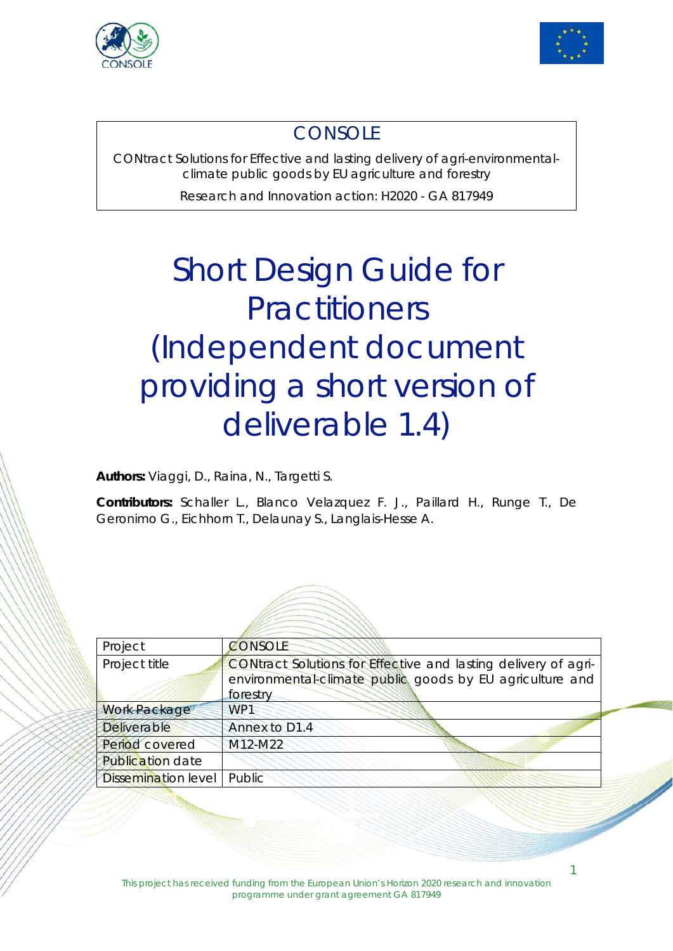



### **CONSOLE**

CONtract Solutions for Effective and lasting delivery of agri-environmentalclimate public goods by EU agriculture and forestry

Research and Innovation action: H2020 - GA 817949

# Short Design Guide for **Practitioners** (Independent document providing a short version of deliverable 1.4)

**Authors:** Viaggi, D., Raina, N., Targetti S.

**Contributors:** Schaller L., Blanco Velazquez F. J., Paillard H., Runge T., De Geronimo G., Eichhorn T., Delaunay S., Langlais-Hesse A.



| Project                    | CONSOLE                                                                                                                    |
|----------------------------|----------------------------------------------------------------------------------------------------------------------------|
| Project title              | CONtract Solutions for Effective and lasting delivery of agri-<br>environmental-climate public goods by EU agriculture and |
|                            | forestry                                                                                                                   |
| <b>Work Package</b>        | WP1                                                                                                                        |
| Deliverable                | Annex to D1.4                                                                                                              |
| Period covered             | M12-M22                                                                                                                    |
| <b>Publication date</b>    |                                                                                                                            |
| <b>Dissemination level</b> | Public                                                                                                                     |
|                            |                                                                                                                            |

1

Í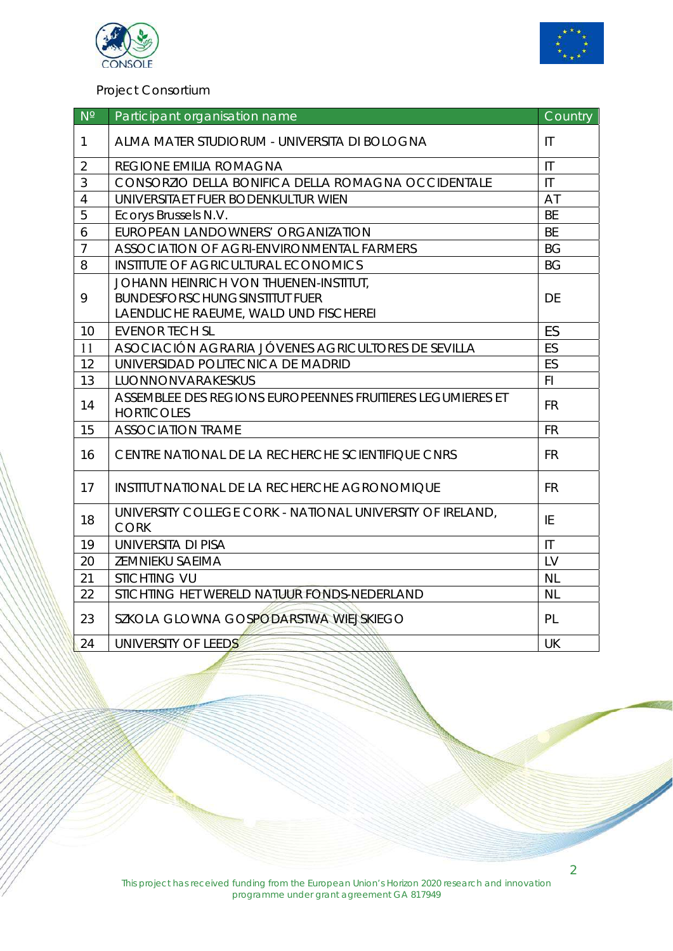



#### Project Consortium

| $N^{\circ}$    | Participant organisation name                                                   | Country                |
|----------------|---------------------------------------------------------------------------------|------------------------|
| $\mathbf{1}$   | ALMA MATER STUDIORUM - UNIVERSITA DI BOLOGNA                                    | $\mathsf{I}\mathsf{T}$ |
| $\overline{2}$ | REGIONE EMILIA ROMAGNA                                                          |                        |
| 3              | CONSORZIO DELLA BONIFICA DELLA ROMAGNA OCCIDENTALE                              | $\mathsf{I}\mathsf{T}$ |
| $\overline{4}$ | UNIVERSITAET FUER BODENKULTUR WIEN                                              | AT                     |
| 5              | Ecorys Brussels N.V.                                                            | <b>BE</b>              |
| 6              | EUROPEAN LANDOWNERS' ORGANIZATION                                               | <b>BE</b>              |
| $\overline{7}$ | ASSOCIATION OF AGRI-ENVIRONMENTAL FARMERS                                       | <b>BG</b>              |
| 8              | INSTITUTE OF AGRICULTURAL ECONOMICS                                             |                        |
|                | JOHANN HEINRICH VON THUENEN-INSTITUT,                                           |                        |
| 9              | <b>BUNDESFORSCHUNGSINSTITUT FUER</b>                                            | DE                     |
|                | LAENDLICHE RAEUME, WALD UND FISCHEREI                                           |                        |
| 10             | <b>EVENOR TECH SL</b>                                                           | ES                     |
| 11             | ASOCIACIÓN AGRARIA JÓVENES AGRICULTORES DE SEVILLA                              | ES                     |
| 12             | UNIVERSIDAD POLITECNICA DE MADRID                                               | ES                     |
| 13             | LUONNONVARAKESKUS                                                               | FI.                    |
| 14             | ASSEMBLEE DES REGIONS EUROPEENNES FRUITIERES LEGUMIERES ET<br><b>HORTICOLES</b> | <b>FR</b>              |
| 15             | <b>ASSOCIATION TRAME</b>                                                        | <b>FR</b>              |
| 16             | CENTRE NATIONAL DE LA RECHERCHE SCIENTIFIQUE CNRS                               | <b>FR</b>              |
| 17             | INSTITUT NATIONAL DE LA RECHERCHE AGRONOMIQUE                                   | <b>FR</b>              |
| 18             | UNIVERSITY COLLEGE CORK - NATIONAL UNIVERSITY OF IRELAND,<br><b>CORK</b>        | ΙE                     |
| 19             | UNIVERSITA DI PISA                                                              | $\mathsf{I}\mathsf{T}$ |
| 20             | ZEMNIEKU SAEIMA                                                                 | LV                     |
| 21             | <b>STICHTING VU</b>                                                             | <b>NL</b>              |
| 22             | STICHTING HET WERELD NATUUR FONDS-NEDERLAND                                     | <b>NL</b>              |
| 23             | SZKOLA GLOWNA GOSPODARSTWA WIEJSKIEGO                                           | PL                     |
| 24             | UNIVERSITY OF LEEDS                                                             |                        |

2

Í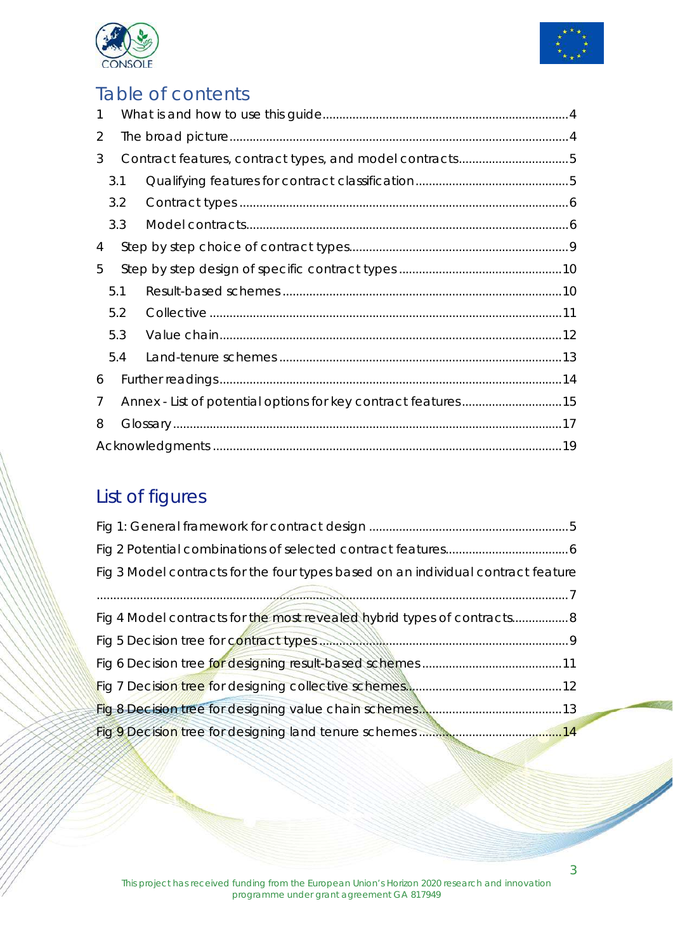



### Table of contents

| $\mathbf{1}$ |     |  |  |  |  |
|--------------|-----|--|--|--|--|
| 2            |     |  |  |  |  |
| 3            |     |  |  |  |  |
|              | 3.1 |  |  |  |  |
|              | 3.2 |  |  |  |  |
|              | 3.3 |  |  |  |  |
| 4            |     |  |  |  |  |
| 5            |     |  |  |  |  |
|              | 5.1 |  |  |  |  |
|              | 5.2 |  |  |  |  |
|              | 5.3 |  |  |  |  |
|              | 5.4 |  |  |  |  |
| 6            |     |  |  |  |  |
| 7            |     |  |  |  |  |
| 8            |     |  |  |  |  |
|              |     |  |  |  |  |

## List of figures

| Fig 3 Model contracts for the four types based on an individual contract feature                  |
|---------------------------------------------------------------------------------------------------|
|                                                                                                   |
| Fig 4 Model contracts for the most revealed hybrid types of contracts 8                           |
|                                                                                                   |
|                                                                                                   |
|                                                                                                   |
|                                                                                                   |
| Fig 9 Decision tree for designing land tenure schemes <b>State and the Contract of Augusta</b> 14 |

3

Í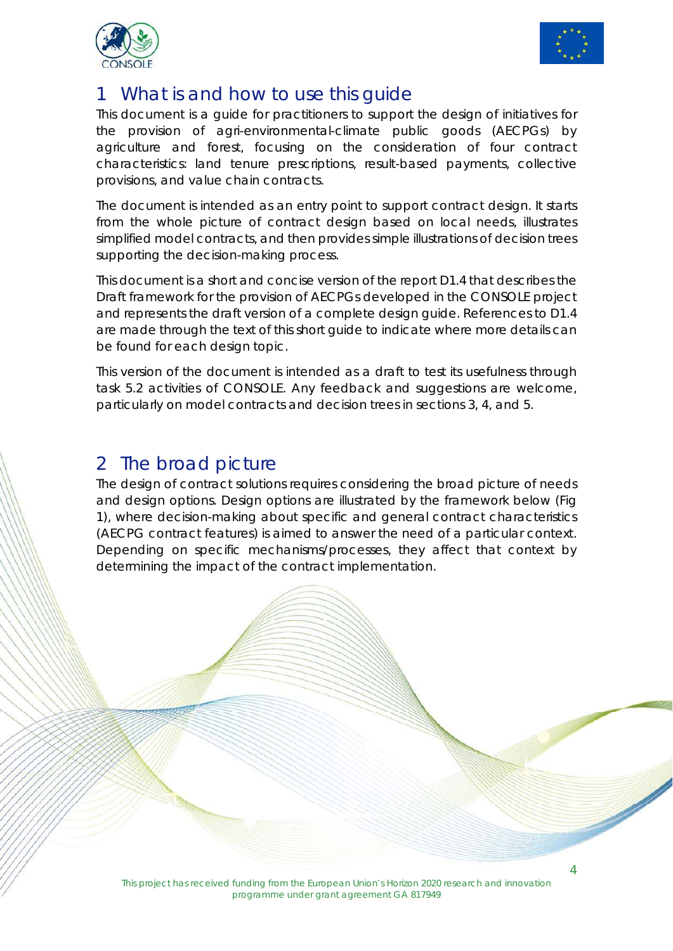



### What is and how to use this quide

This document is a guide for practitioners to support the design of initiatives for the provision of agri-environmental-climate public goods (AECPGs) by agriculture and forest, focusing on the consideration of four contract characteristics: land tenure prescriptions, result-based payments, collective provisions, and value chain contracts.

The document is intended as an entry point to support contract design. It starts from the whole picture of contract design based on local needs, illustrates simplified model contracts, and then provides simple illustrations of decision trees supporting the decision-making process.

This document is a short and concise version of the report D1.4 that describes the Draft framework for the provision of AECPGs developed in the CONSOLE project and represents the draft version of a complete design guide. References to D1.4 are made through the text of this short guide to indicate where more details can be found for each design topic.

This version of the document is intended as a draft to test its usefulness through task 5.2 activities of CONSOLE. Any feedback and suggestions are welcome, particularly on model contracts and decision trees in sections 3, 4, and 5.

### 2 The broad picture

The design of contract solutions requires considering the broad picture of needs and design options. Design options are illustrated by the framework below (Fig 1), where decision-making about specific and general contract characteristics (AECPG contract features) is aimed to answer the need of a particular context. Depending on specific mechanisms/processes, they affect that context by determining the impact of the contract implementation.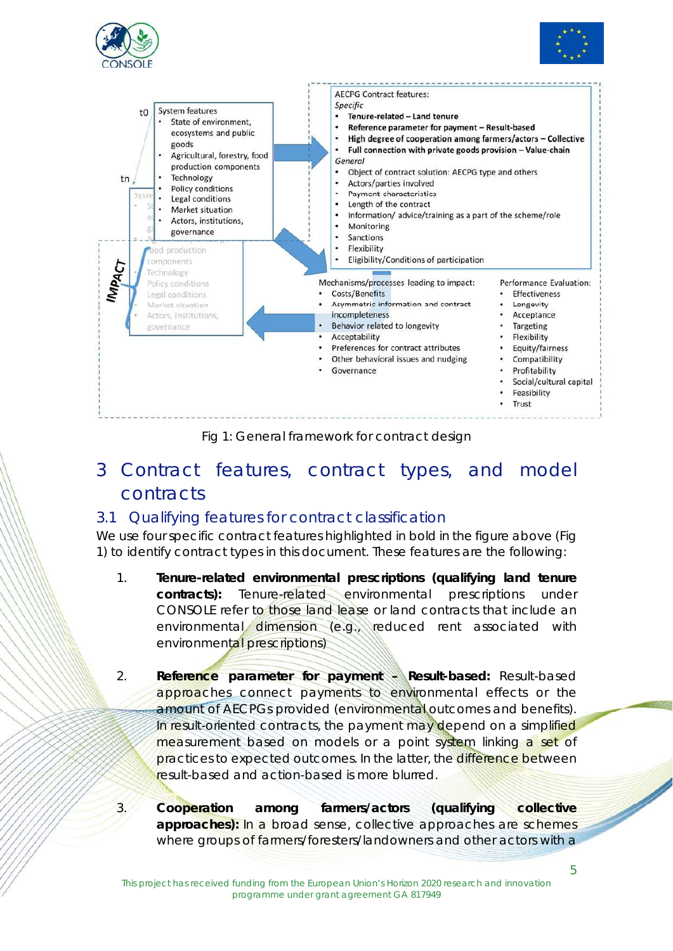





Fig 1: General framework for contract design

### 3 Contract features, contract types, and model contracts

#### 3.1 Qualifying features for contract classification

We use four specific contract features highlighted in bold in the figure above (Fig 1) to identify contract types in this document. These features are the following:

- 1. **Tenure-related environmental prescriptions (qualifying land tenure contracts):** Tenure-related environmental prescriptions under CONSOLE refer to those land lease or land contracts that include an environmental dimension (e.g., reduced rent associated with environmental prescriptions)
- 2. **Reference parameter for payment Result-based:** Result-based approaches connect payments to environmental effects or the amount of AECPGs provided (environmental outcomes and benefits). In result-oriented contracts, the payment may depend on a simplified measurement based on models or a point system linking a set of practices to expected outcomes. In the latter, the difference between result-based and action-based is more blurred.
- 3. **Cooperation among farmers/actors (qualifying collective**  approaches): In a broad sense, collective approaches are schemes where groups of farmers/foresters/landowners and other actors with a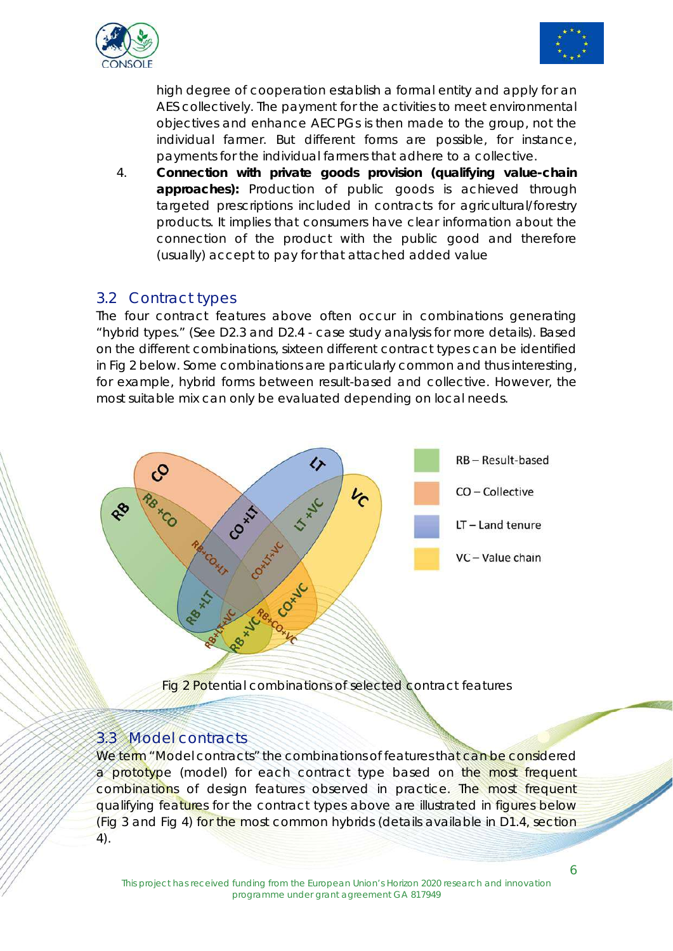



high degree of cooperation establish a formal entity and apply for an AES collectively. The payment for the activities to meet environmental objectives and enhance AECPGs is then made to the group, not the individual farmer. But different forms are possible, for instance, payments for the individual farmers that adhere to a collective.

4. **Connection with private goods provision (qualifying value-chain approaches):** Production of public goods is achieved through targeted prescriptions included in contracts for agricultural/forestry products. It implies that consumers have clear information about the connection of the product with the public good and therefore (usually) accept to pay for that attached added value

#### 3.2 Contract types

The four contract features above often occur in combinations generating "hybrid types." (See D2.3 and D2.4 - case study analysis for more details). Based on the different combinations, sixteen different contract types can be identified in Fig 2 below. Some combinations are particularly common and thus interesting, for example, hybrid forms between result-based and collective. However, the most suitable mix can only be evaluated depending on local needs.



#### 3.3 Model contracts

We term "Model contracts" the combinations of features that can be considered a prototype (model) for each contract type based on the most frequent combinations of design features observed in practice. The most frequent qualifying features for the contract types above are illustrated in figures below (Fig 3 and Fig 4) for the most common hybrids (details available in D1.4, section 4).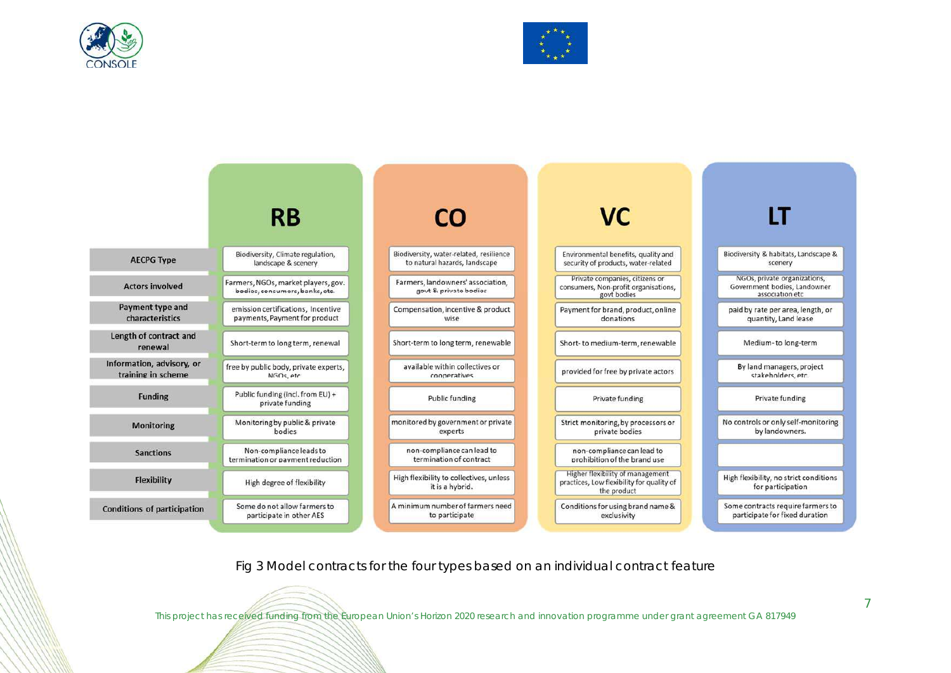





Fig 3 Model contracts for the four types based on an individual contract feature

This project has received funding from the European Union's Horizon 2020 research and innovation programme under grant agreement GA 817949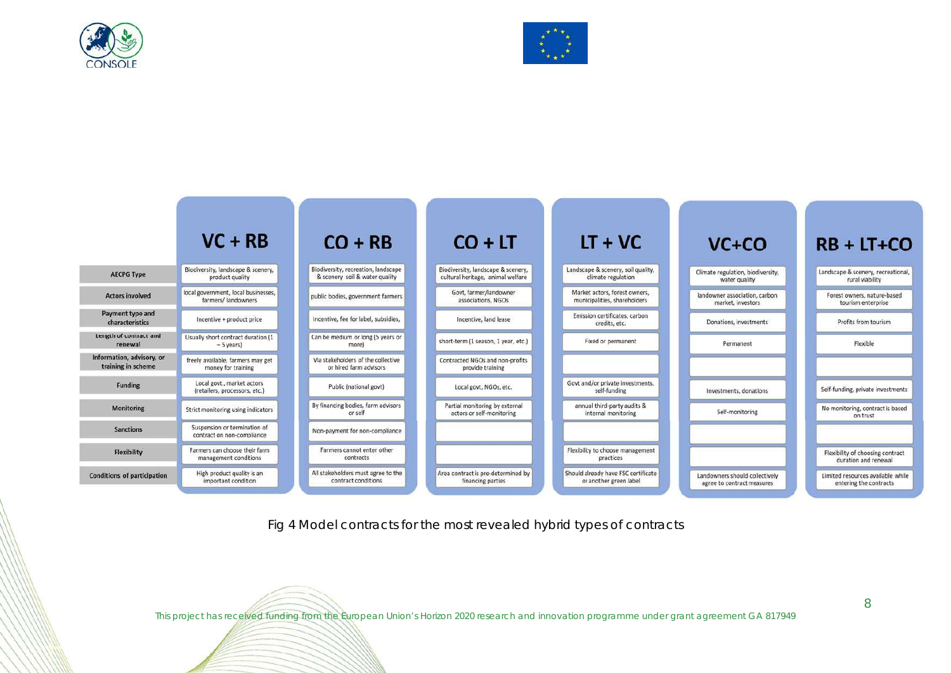





Fig 4 Model contracts for the most revealed hybrid types of contracts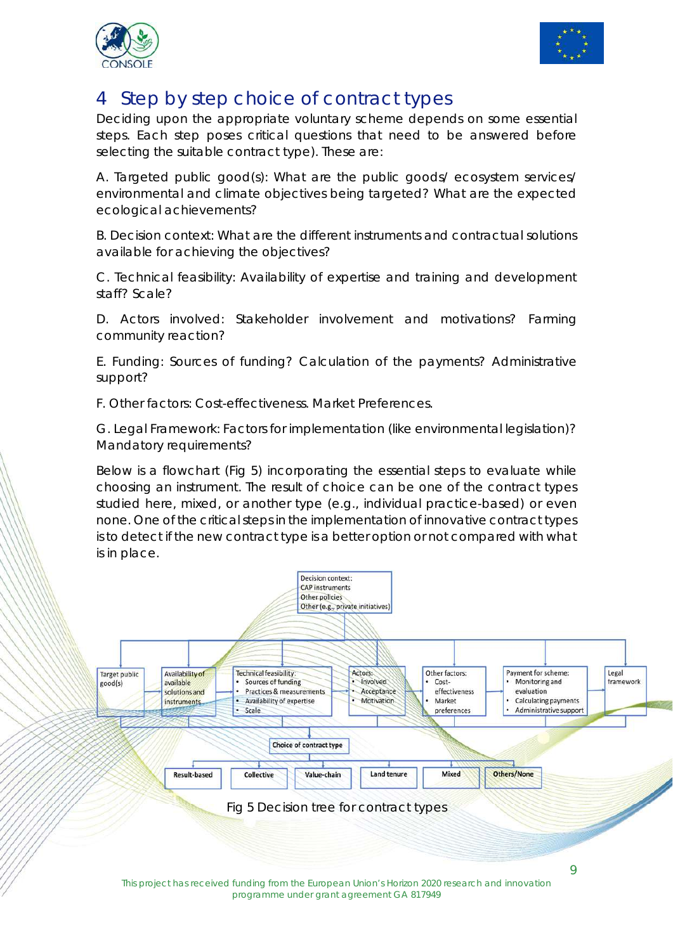



### 4 Step by step choice of contract types

Deciding upon the appropriate voluntary scheme depends on some essential steps. Each step poses critical questions that need to be answered before selecting the suitable contract type). These are:

A. Targeted public good(s): What are the public goods/ ecosystem services/ environmental and climate objectives being targeted? What are the expected ecological achievements?

B. Decision context: What are the different instruments and contractual solutions available for achieving the objectives?

C. Technical feasibility: Availability of expertise and training and development staff? Scale?

D. Actors involved: Stakeholder involvement and motivations? Farming community reaction?

E. Funding: Sources of funding? Calculation of the payments? Administrative support?

F. Other factors: Cost-effectiveness. Market Preferences.

G. Legal Framework: Factors for implementation (like environmental legislation)? Mandatory requirements?

Below is a flowchart (Fig 5) incorporating the essential steps to evaluate while choosing an instrument. The result of choice can be one of the contract types studied here, mixed, or another type (e.g., individual practice-based) or even none. One of the critical steps in the implementation of innovative contract types is to detect if the new contract type is a better option or not compared with what is in place.



This project has received funding from the European Union's Horizon 2020 research and innovation programme under grant agreement GA 817949

9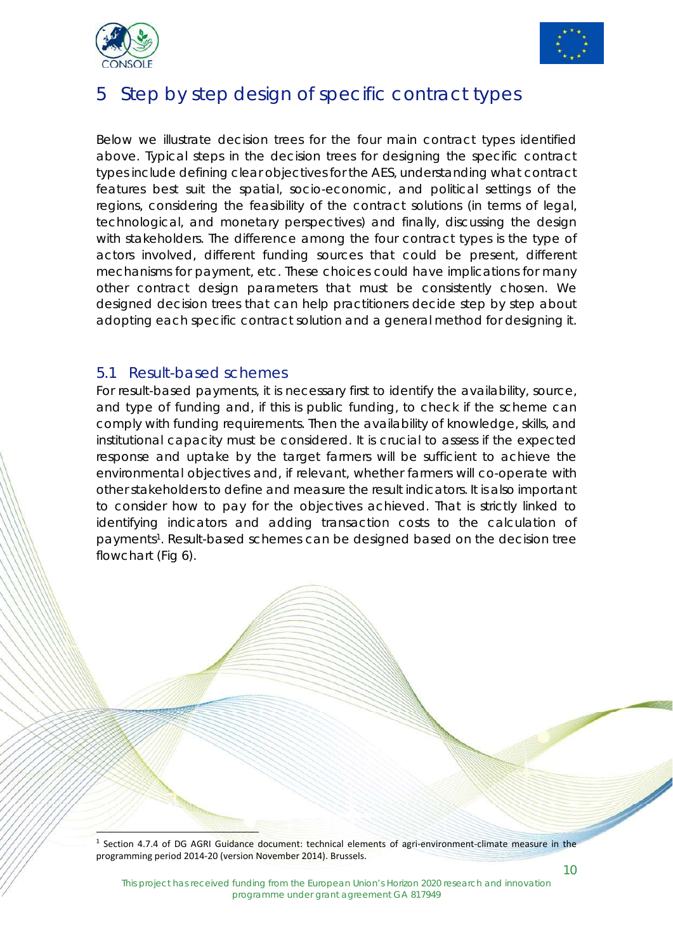



### 5 Step by step design of specific contract types

Below we illustrate decision trees for the four main contract types identified above. Typical steps in the decision trees for designing the specific contract types include defining clear objectives for the AES, understanding what contract features best suit the spatial, socio-economic, and political settings of the regions, considering the feasibility of the contract solutions (in terms of legal, technological, and monetary perspectives) and finally, discussing the design with stakeholders. The difference among the four contract types is the type of actors involved, different funding sources that could be present, different mechanisms for payment, etc. These choices could have implications for many other contract design parameters that must be consistently chosen. We designed decision trees that can help practitioners decide step by step about adopting each specific contract solution and a general method for designing it.

#### 5.1 Result-based schemes

ŗ

For result-based payments, it is necessary first to identify the availability, source, and type of funding and, if this is public funding, to check if the scheme can comply with funding requirements. Then the availability of knowledge, skills, and institutional capacity must be considered. It is crucial to assess if the expected response and uptake by the target farmers will be sufficient to achieve the environmental objectives and, if relevant, whether farmers will co-operate with other stakeholders to define and measure the result indicators. It is also important to consider how to pay for the objectives achieved. That is strictly linked to identifying indicators and adding transaction costs to the calculation of payments<sup>1</sup>. Result-based schemes can be designed based on the decision tree flowchart (Fig 6).

 $1$  Section 4.7.4 of DG AGRI Guidance document: technical elements of agri-environment-climate measure in the programming period 2014‐20 (version November 2014). Brussels.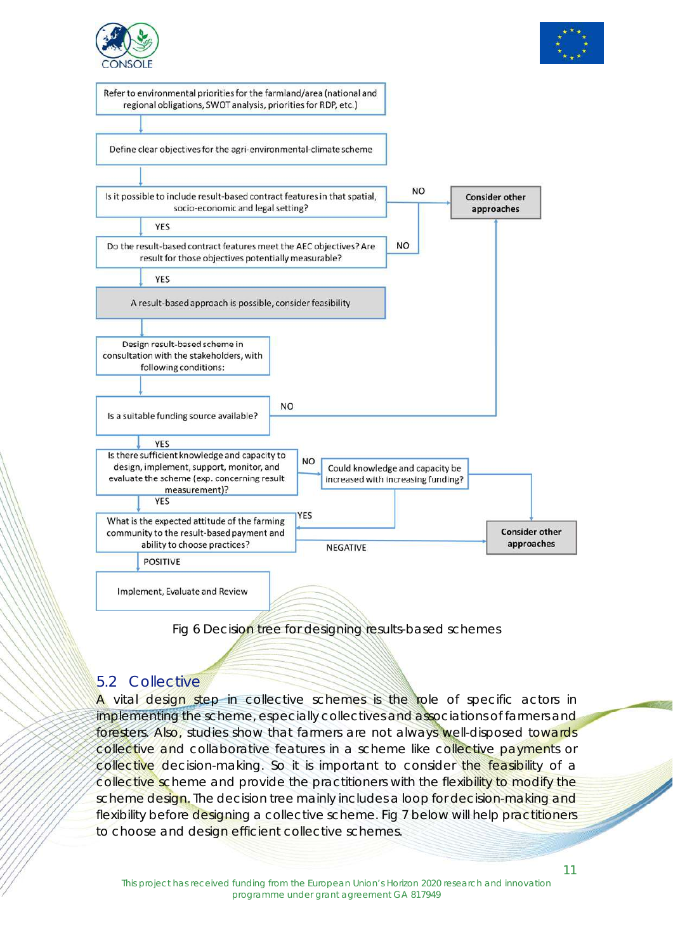



Refer to environmental priorities for the farmland/area (national and regional obligations, SWOT analysis, priorities for RDP, etc.)

Define clear objectives for the agri-environmental-climate scheme



Fig 6 Decision tree for designing results-based schemes

### 5.2 Collective

A vital design step in collective schemes is the role of specific actors in implementing the scheme, especially collectives and associations of farmers and foresters. Also, studies show that farmers are not always well-disposed towards collective and collaborative features in a scheme like collective payments or collective decision-making. So it is important to consider the feasibility of a collective scheme and provide the practitioners with the flexibility to modify the scheme design. The decision tree mainly includes a loop for decision-making and flexibility before designing a collective scheme. Fig 7 below will help practitioners to choose and design efficient collective schemes.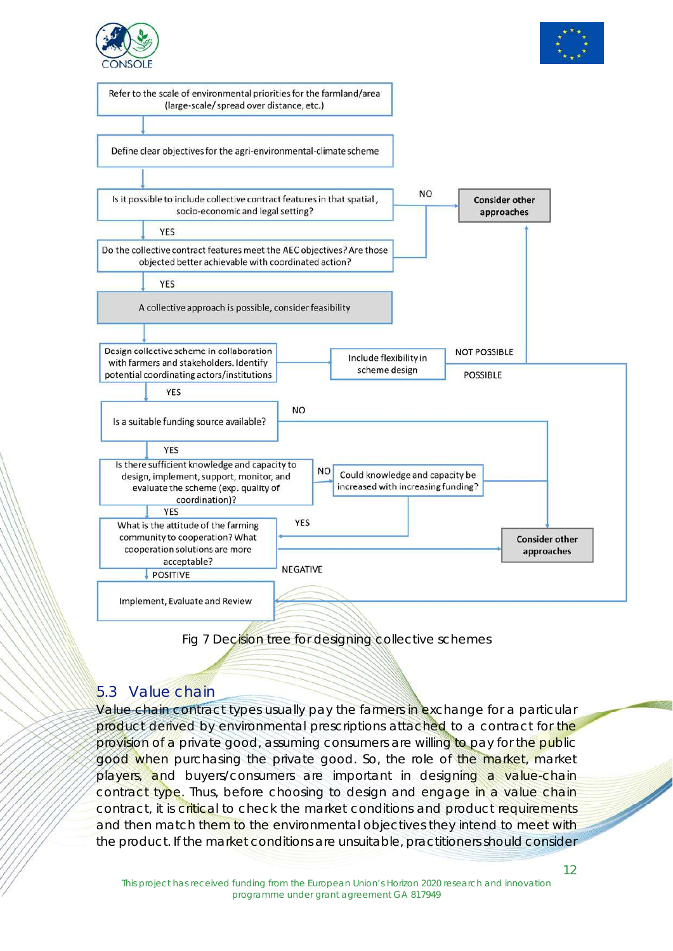





#### Fig 7 Decision tree for designing collective schemes

#### 5.3 Value chain

Value chain contract types usually pay the farmers in exchange for a particular product derived by environmental prescriptions attached to a contract for the provision of a private good, assuming consumers are willing to pay for the public good when purchasing the private good. So, the role of the market, market players, and buyers/consumers are important in designing a value-chain contract type. Thus, before choosing to design and engage in a value chain contract, it is critical to check the market conditions and product requirements and then match them to the environmental objectives they intend to meet with the product. If the market conditions are unsuitable, practitioners should consider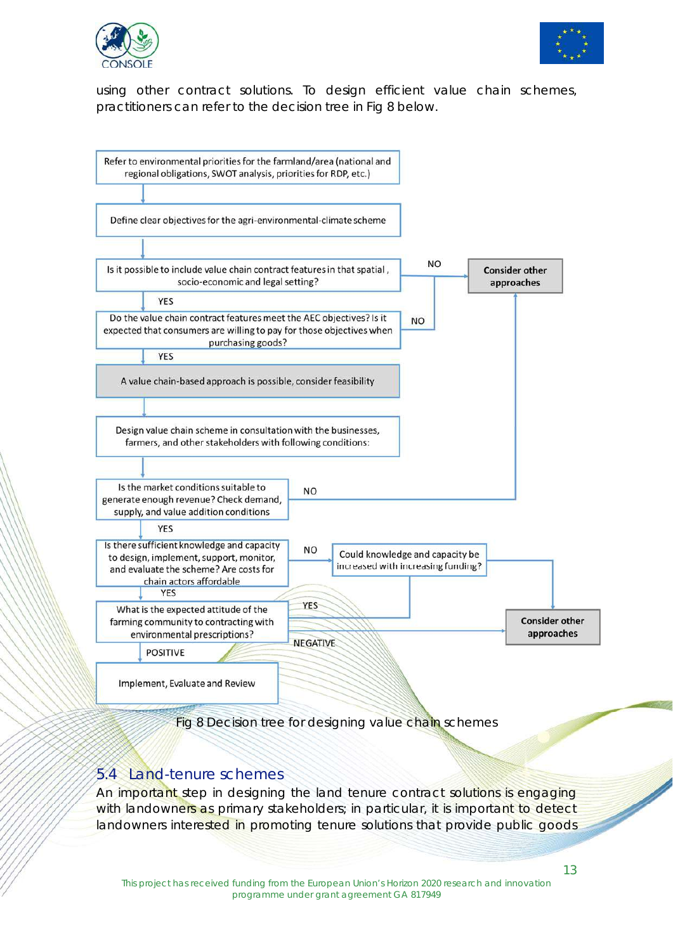![](_page_12_Picture_0.jpeg)

![](_page_12_Picture_1.jpeg)

using other contract solutions. To design efficient value chain schemes, practitioners can refer to the decision tree in Fig 8 below.

![](_page_12_Figure_3.jpeg)

Fig 8 Decision tree for designing value chain schemes

#### 5.4 Land-tenure schemes

An important step in designing the land tenure contract solutions is engaging with landowners as primary stakeholders; in particular, it is important to detect landowners interested in promoting tenure solutions that provide public goods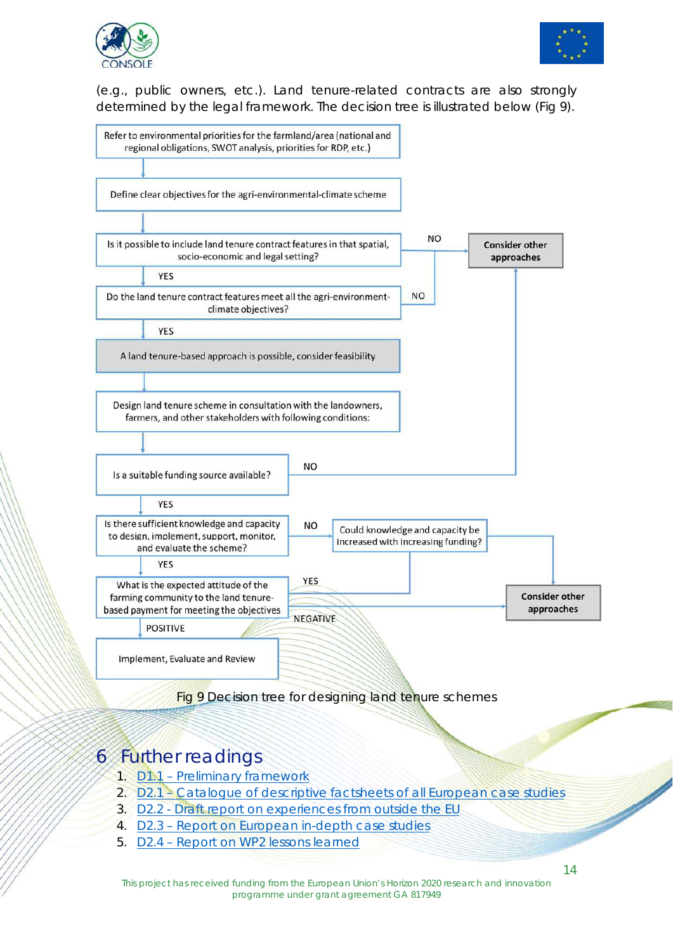![](_page_13_Picture_0.jpeg)

![](_page_13_Picture_1.jpeg)

(e.g., public owners, etc.). Land tenure-related contracts are also strongly determined by the legal framework. The decision tree is illustrated below (Fig 9).

![](_page_13_Figure_3.jpeg)

### 6 Further readings

- 1. D1.1 Preliminary framework
- 2. D2.1 Catalogue of descriptive factsheets of all European case studies
- 3. D2.2 Draft report on experiences from outside the EU
- 4. D2.3 Report on European in-depth case studies
- 5. D2.4 Report on WP2 lessons learned

This project has received funding from the European Union's Horizon 2020 research and innovation programme under grant agreement GA 817949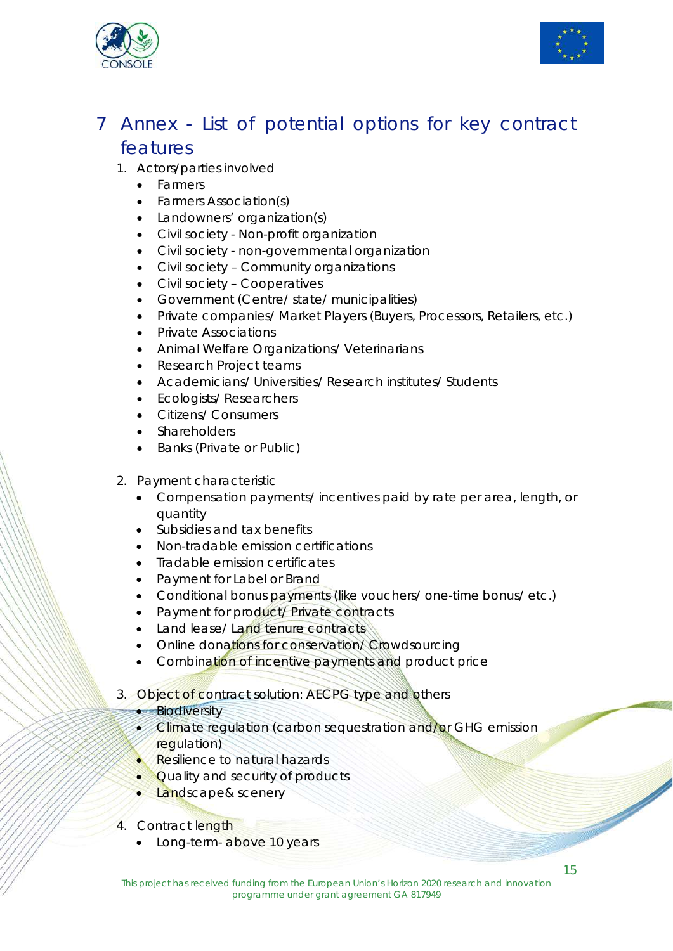![](_page_14_Picture_0.jpeg)

![](_page_14_Picture_1.jpeg)

### 7 Annex - List of potential options for key contract features

- 1. Actors/parties involved
	- **•** Farmers
	- Farmers Association(s)
	- Landowners' organization(s)
	- Civil society Non-profit organization
	- Civil society non-governmental organization
	- Civil society Community organizations
	- Civil society Cooperatives
	- Government (Centre/ state/ municipalities)
	- Private companies/ Market Players (Buyers, Processors, Retailers, etc.)
	- Private Associations
	- Animal Welfare Organizations/ Veterinarians
	- Research Project teams
	- Academicians/ Universities/ Research institutes/ Students
	- Ecologists/Researchers
	- Citizens/ Consumers
	- **Shareholders**
	- Banks (Private or Public)
- 2. Payment characteristic
	- Compensation payments/ incentives paid by rate per area, length, or quantity
	- Subsidies and tax benefits
	- Non-tradable emission certifications
	- Tradable emission certificates
	- Payment for Label or Brand
	- Conditional bonus payments (like vouchers/ one-time bonus/ etc.)
	- Payment for product/ Private contracts
	- Land lease/ Land tenure contracts
	- Online donations for conservation/ Crowdsourcing
	- Combination of incentive payments and product price
- 3. Object of contract solution: AECPG type and others

#### **Biodiversity**

- **Climate regulation (carbon sequestration and/or GHG emission** regulation)
- Resilience to natural hazards
- Quality and security of products
- Landscape& scenery
- 4. Contract length
	- Long-term- above 10 years

**September 1888**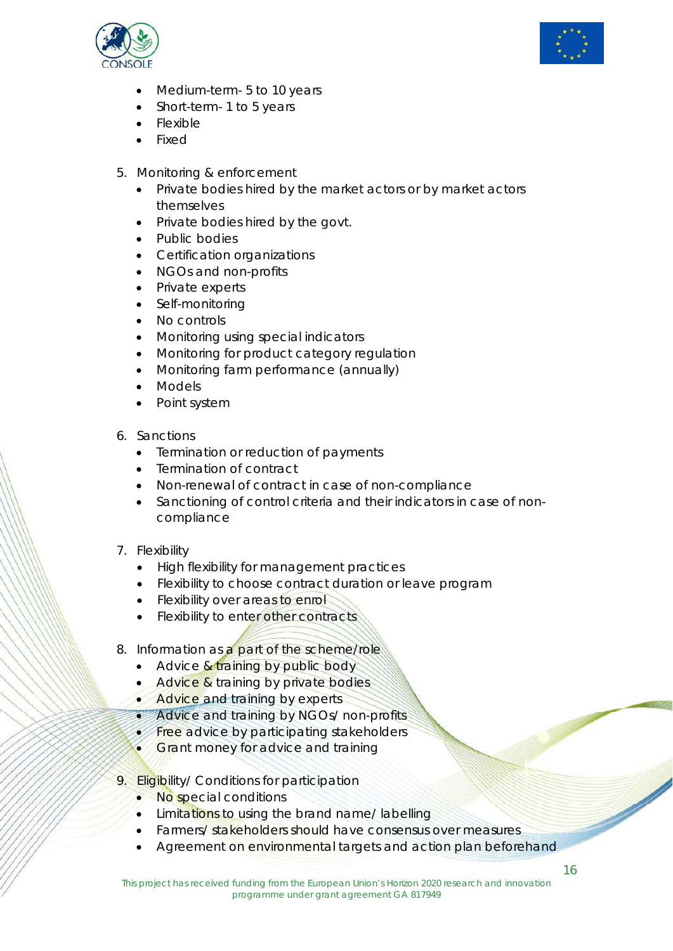![](_page_15_Picture_0.jpeg)

![](_page_15_Picture_1.jpeg)

- Medium-term- 5 to 10 years
- Short-term- 1 to 5 years
- Flexible
- Fixed
- 5. Monitoring & enforcement
	- Private bodies hired by the market actors or by market actors themselves
	- Private bodies hired by the govt.
	- Public bodies
	- Certification organizations
	- NGOs and non-profits
	- Private experts
	- Self-monitoring
	- No controls
	- Monitoring using special indicators
	- Monitoring for product category regulation
	- Monitoring farm performance (annually)
	- Models
	- Point system
- 6. Sanctions
	- Termination or reduction of payments
	- Termination of contract
	- Non-renewal of contract in case of non-compliance
	- Sanctioning of control criteria and their indicators in case of noncompliance
- 7. Flexibility
	- High flexibility for management practices
	- Flexibility to choose contract duration or leave program
	- Flexibility over areas to enrol
	- Flexibility to enter other contracts
- 8. Information as a part of the scheme/role
	- $\bullet$  Advice & training by public body
	- Advice & training by private bodies
	- Advice and training by experts
	- Advice and training by NGOs/ non-profits
	- **Free advice by participating stakeholders**
	- **Grant money for advice and training**
- 9. Eligibility/ Conditions for participation
	- No special conditions
	- Limitations to using the brand name/ labelling
	- Farmers/ stakeholders should have consensus over measures
	- Agreement on environmental targets and action plan beforehand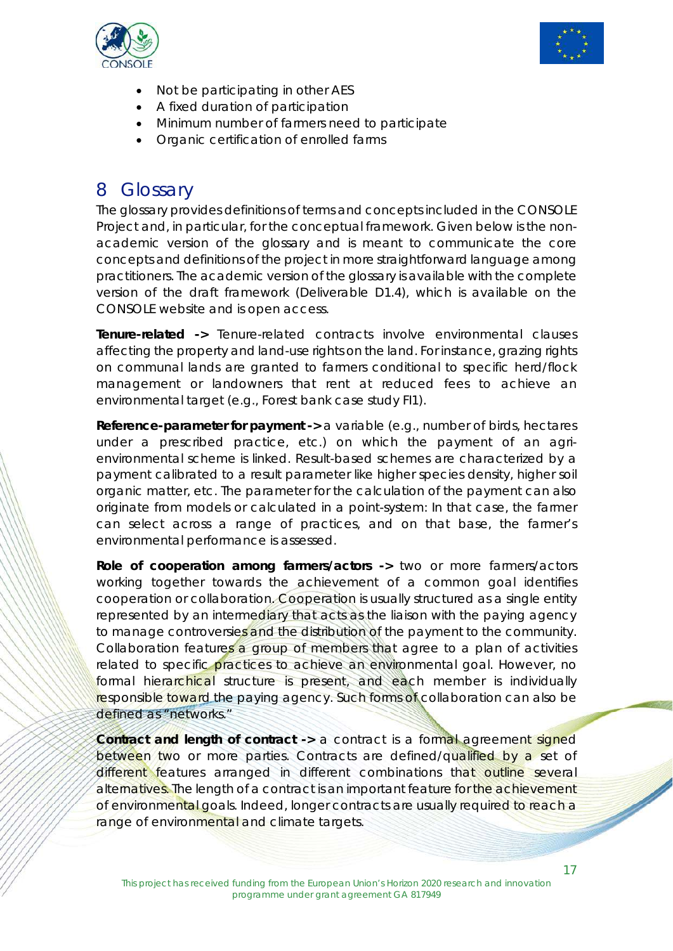![](_page_16_Picture_0.jpeg)

![](_page_16_Picture_1.jpeg)

- Not be participating in other AES
- A fixed duration of participation
- Minimum number of farmers need to participate
- Organic certification of enrolled farms

### 8 Glossary

The glossary provides definitions of terms and concepts included in the CONSOLE Project and, in particular, for the conceptual framework. Given below is the nonacademic version of the glossary and is meant to communicate the core concepts and definitions of the project in more straightforward language among practitioners. The academic version of the glossary is available with the complete version of the draft framework (Deliverable D1.4), which is available on the CONSOLE website and is open access.

**Tenure-related ->** Tenure-related contracts involve environmental clauses affecting the property and land-use rights on the land. For instance, grazing rights on communal lands are granted to farmers conditional to specific herd/flock management or landowners that rent at reduced fees to achieve an environmental target (e.g., Forest bank case study FI1).

**Reference-parameter for payment ->** a variable (e.g., number of birds, hectares under a prescribed practice, etc.) on which the payment of an agrienvironmental scheme is linked. Result-based schemes are characterized by a payment calibrated to a result parameter like higher species density, higher soil organic matter, etc. The parameter for the calculation of the payment can also originate from models or calculated in a point-system: In that case, the farmer can select across a range of practices, and on that base, the farmer's environmental performance is assessed.

**Role of cooperation among farmers/actors ->** two or more farmers/actors working together towards the achievement of a common goal identifies cooperation or collaboration. Cooperation is usually structured as a single entity represented by an intermediary that acts as the liaison with the paying agency to manage controversies and the distribution of the payment to the community. Collaboration features a group of members that agree to a plan of activities related to specific practices to achieve an environmental goal. However, no formal hierarchical structure is present, and each member is individually responsible toward the paying agency. Such forms of collaboration can also be defined as "networks."

**Contract and length of contract -> a contract is a formal agreement signed** between two or more parties. Contracts are defined/qualified by a set of different features arranged in different combinations that outline several alternatives. The length of a contract is an important feature for the achievement of environmental goals. Indeed, longer contracts are usually required to reach a range of environmental and climate targets.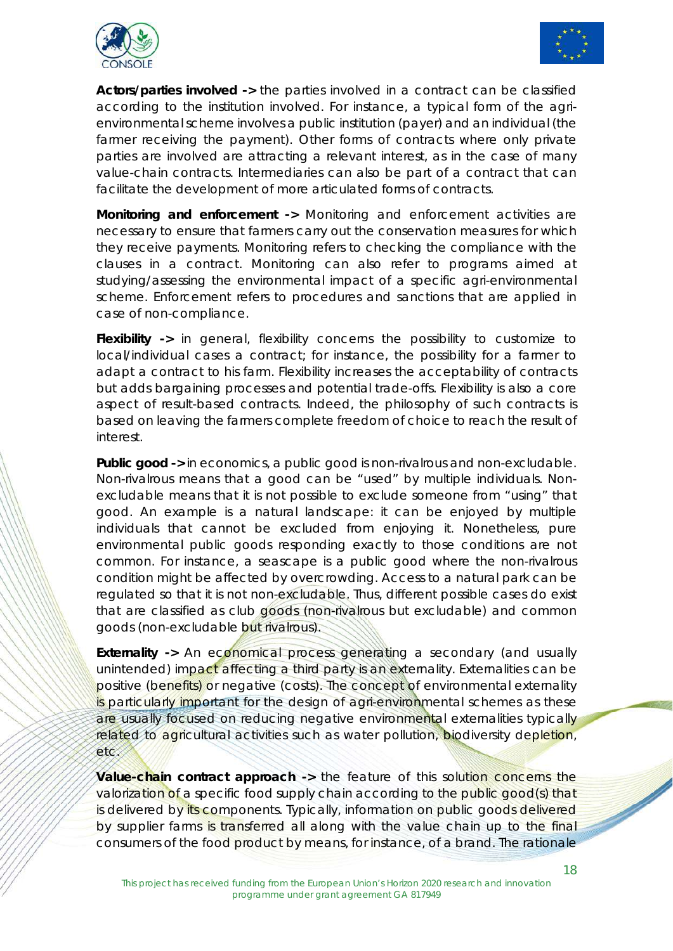![](_page_17_Picture_0.jpeg)

![](_page_17_Picture_1.jpeg)

**Actors/parties involved ->** the parties involved in a contract can be classified according to the institution involved. For instance, a typical form of the agrienvironmental scheme involves a public institution (payer) and an individual (the farmer receiving the payment). Other forms of contracts where only private parties are involved are attracting a relevant interest, as in the case of many value-chain contracts. Intermediaries can also be part of a contract that can facilitate the development of more articulated forms of contracts.

**Monitoring and enforcement ->** Monitoring and enforcement activities are necessary to ensure that farmers carry out the conservation measures for which they receive payments. Monitoring refers to checking the compliance with the clauses in a contract. Monitoring can also refer to programs aimed at studying/assessing the environmental impact of a specific agri-environmental scheme. Enforcement refers to procedures and sanctions that are applied in case of non-compliance.

**Flexibility ->** in general, flexibility concerns the possibility to customize to local/individual cases a contract; for instance, the possibility for a farmer to adapt a contract to his farm. Flexibility increases the acceptability of contracts but adds bargaining processes and potential trade-offs. Flexibility is also a core aspect of result-based contracts. Indeed, the philosophy of such contracts is based on leaving the farmers complete freedom of choice to reach the result of interest.

**Public good ->** in economics, a public good is non-rivalrous and non-excludable. Non-rivalrous means that a good can be "used" by multiple individuals. Nonexcludable means that it is not possible to exclude someone from "using" that good. An example is a natural landscape: it can be enjoyed by multiple individuals that cannot be excluded from enjoying it. Nonetheless, *pure*  environmental public goods responding exactly to those conditions are not common. For instance, a seascape is a public good where the non-rivalrous condition might be affected by overcrowding. Access to a natural park can be regulated so that it is not non-excludable. Thus, different possible cases do exist that are classified as club goods (non-rivalrous but excludable) and common goods (non-excludable but rivalrous).

**Externality ->** An economical process generating a secondary (and usually unintended) impact affecting a third party is an externality. Externalities can be positive (benefits) or negative (costs). The concept of environmental externality is particularly important for the design of agri-environmental schemes as these are usually focused on reducing negative environmental externalities typically related to agricultural activities such as water pollution, biodiversity depletion, etc.

**Value-chain contract approach ->** the feature of this solution concerns the valorization of a specific food supply chain according to the public good(s) that is delivered by its components. Typically, information on public goods delivered by supplier farms is transferred all along with the value chain up to the final consumers of the food product by means, for instance, of a brand. The rationale